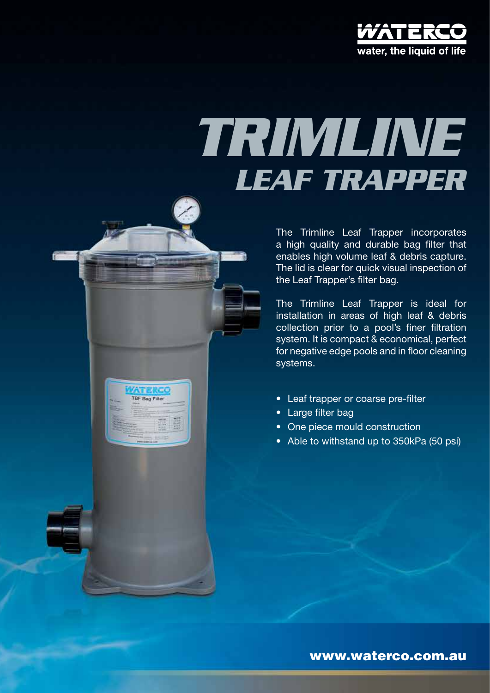

# *leaf trapper trimline*

The Trimline Leaf Trapper incorporates a high quality and durable bag filter that enables high volume leaf & debris capture. The lid is clear for quick visual inspection of the Leaf Trapper's filter bag.

The Trimline Leaf Trapper is ideal for installation in areas of high leaf & debris collection prior to a pool's finer filtration system. It is compact & economical, perfect for negative edge pools and in floor cleaning systems.

- Leaf trapper or coarse pre-filter
- Large filter bag

Anakao **TBF Bag Filter** 

- One piece mould construction
- Able to withstand up to 350kPa (50 psi)

www.waterco.com.au